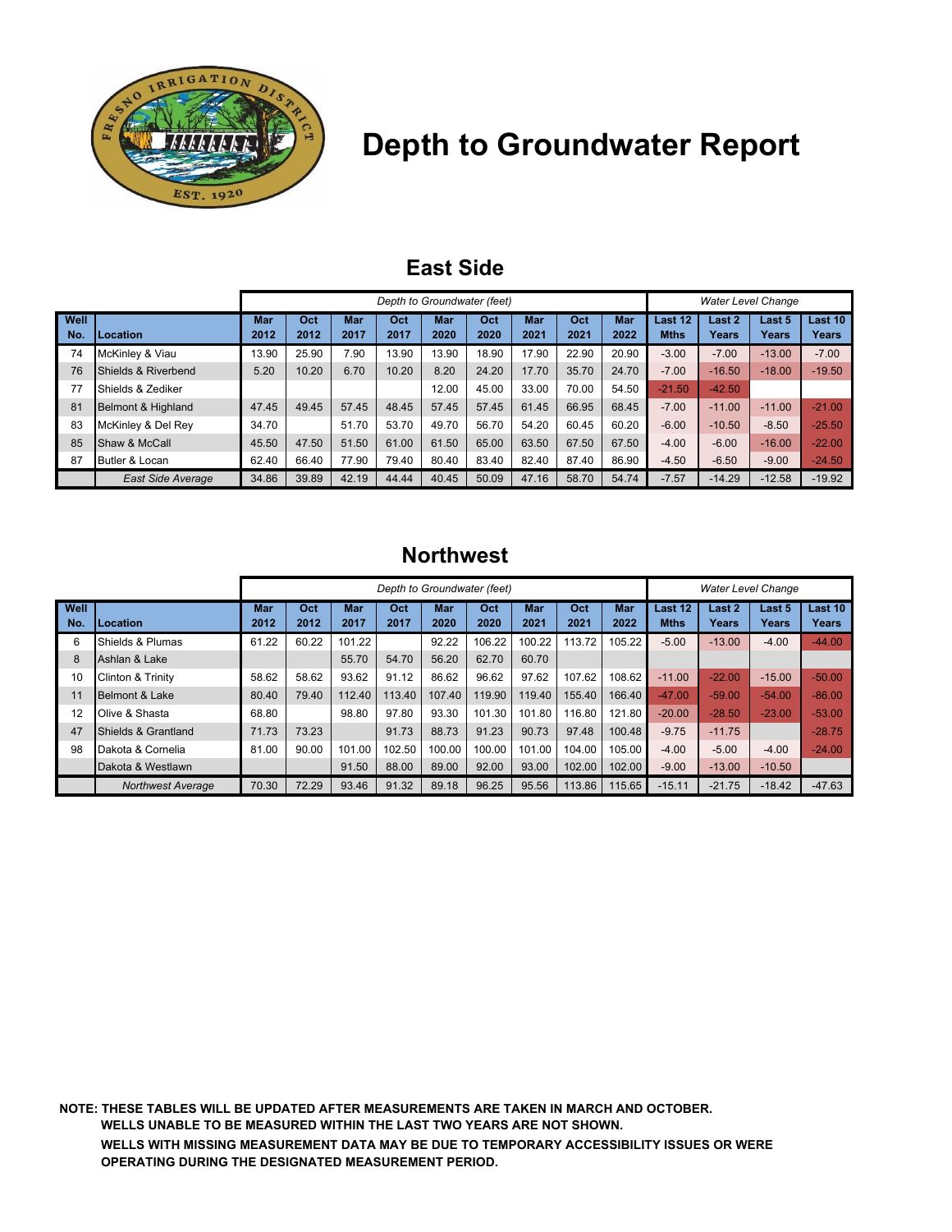

# **Depth to Groundwater Report**

## **East Side**

|             |                               | Depth to Groundwater (feet) |             |             |             |             |             |                    |             |                    |                        | <b>Water Level Change</b> |                        |                  |  |
|-------------|-------------------------------|-----------------------------|-------------|-------------|-------------|-------------|-------------|--------------------|-------------|--------------------|------------------------|---------------------------|------------------------|------------------|--|
| Well<br>No. | Location                      | <b>Mar</b><br>2012          | Oct<br>2012 | Mar<br>2017 | Oct<br>2017 | Mar<br>2020 | Oct<br>2020 | <b>Mar</b><br>2021 | Oct<br>2021 | <b>Mar</b><br>2022 | Last 12<br><b>Mths</b> | Last 2<br>Years           | Last 5<br><b>Years</b> | Last 10<br>Years |  |
| 74          | McKinley & Viau               | 13.90                       | 25.90       | 7.90        | 13.90       | 13.90       | 18.90       | 17.90              | 22.90       | 20.90              | $-3.00$                | $-7.00$                   | $-13.00$               | $-7.00$          |  |
| 76          | Shields & Riverbend           | 5.20                        | 10.20       | 6.70        | 10.20       | 8.20        | 24.20       | 17.70              | 35.70       | 24.70              | $-7.00$                | $-16.50$                  | $-18.00$               | $-19.50$         |  |
| 77          | Shields & Zediker             |                             |             |             |             | 12.00       | 45.00       | 33.00              | 70.00       | 54.50              | $-21.50$               | $-42.50$                  |                        |                  |  |
| 81          | <b>Belmont &amp; Highland</b> | 47.45                       | 49.45       | 57.45       | 48.45       | 57.45       | 57.45       | 61.45              | 66.95       | 68.45              | $-7.00$                | $-11.00$                  | $-11.00$               | $-21.00$         |  |
| 83          | McKinley & Del Rey            | 34.70                       |             | 51.70       | 53.70       | 49.70       | 56.70       | 54.20              | 60.45       | 60.20              | $-6.00$                | $-10.50$                  | $-8.50$                | $-25.50$         |  |
| 85          | Shaw & McCall                 | 45.50                       | 47.50       | 51.50       | 61.00       | 61.50       | 65.00       | 63.50              | 67.50       | 67.50              | $-4.00$                | $-6.00$                   | $-16.00$               | $-22.00$         |  |
| 87          | Butler & Locan                | 62.40                       | 66.40       | 77.90       | 79.40       | 80.40       | 83.40       | 82.40              | 87.40       | 86.90              | $-4.50$                | $-6.50$                   | $-9.00$                | $-24.50$         |  |
|             | <b>East Side Average</b>      | 34.86                       | 39.89       | 42.19       | 44.44       | 40.45       | 50.09       | 47.16              | 58.70       | 54.74              | $-7.57$                | $-14.29$                  | $-12.58$               | $-19.92$         |  |

#### **Northwest**

|             |                              | Depth to Groundwater (feet) |             |             |             |             |             |             |             |                    |                        | <b>Water Level Change</b> |                        |                         |  |
|-------------|------------------------------|-----------------------------|-------------|-------------|-------------|-------------|-------------|-------------|-------------|--------------------|------------------------|---------------------------|------------------------|-------------------------|--|
| Well<br>No. | Location                     | Mar<br>2012                 | Oct<br>2012 | Mar<br>2017 | Oct<br>2017 | Mar<br>2020 | Oct<br>2020 | Mar<br>2021 | Oct<br>2021 | <b>Mar</b><br>2022 | Last 12<br><b>Mths</b> | Last 2<br>Years           | Last 5<br><b>Years</b> | Last 10<br><b>Years</b> |  |
| 6           | Shields & Plumas             | 61.22                       | 60.22       | 101.22      |             | 92.22       | 106.22      | 100.22      | 113.72      | 105.22             | $-5.00$                | $-13.00$                  | $-4.00$                | $-44.00$                |  |
| 8           | Ashlan & Lake                |                             |             | 55.70       | 54.70       | 56.20       | 62.70       | 60.70       |             |                    |                        |                           |                        |                         |  |
| 10          | <b>Clinton &amp; Trinity</b> | 58.62                       | 58.62       | 93.62       | 91.12       | 86.62       | 96.62       | 97.62       | 107.62      | 108.62             | $-11.00$               | $-22.00$                  | $-15.00$               | $-50.00$                |  |
| 11          | Belmont & Lake               | 80.40                       | 79.40       | 112.40      | 113.40      | 107.40      | 119.90      | 119.40      | 155.40      | 166.40             | $-47.00$               | $-59.00$                  | $-54.00$               | $-86.00$                |  |
| 12          | Olive & Shasta               | 68.80                       |             | 98.80       | 97.80       | 93.30       | 101.30      | 101.80      | 116.80      | 121.80             | $-20.00$               | $-28.50$                  | $-23.00$               | $-53.00$                |  |
| 47          | Shields & Grantland          | 71.73                       | 73.23       |             | 91.73       | 88.73       | 91.23       | 90.73       | 97.48       | 100.48             | $-9.75$                | $-11.75$                  |                        | $-28.75$                |  |
| 98          | Dakota & Cornelia            | 81.00                       | 90.00       | 101.00      | 102.50      | 100.00      | 100.00      | 101.00      | 104.00      | 105.00             | $-4.00$                | $-5.00$                   | $-4.00$                | $-24.00$                |  |
|             | Dakota & Westlawn            |                             |             | 91.50       | 88.00       | 89.00       | 92.00       | 93.00       | 102.00      | 102.00             | $-9.00$                | $-13.00$                  | $-10.50$               |                         |  |
|             | <b>Northwest Average</b>     | 70.30                       | 72.29       | 93.46       | 91.32       | 89.18       | 96.25       | 95.56       | 113.86      | 115.65             | $-15.11$               | $-21.75$                  | $-18.42$               | $-47.63$                |  |

**NOTE: THESE TABLES WILL BE UPDATED AFTER MEASUREMENTS ARE TAKEN IN MARCH AND OCTOBER. WELLS UNABLE TO BE MEASURED WITHIN THE LAST TWO YEARS ARE NOT SHOWN. WELLS WITH MISSING MEASUREMENT DATA MAY BE DUE TO TEMPORARY ACCESSIBILITY ISSUES OR WERE OPERATING DURING THE DESIGNATED MEASUREMENT PERIOD.**